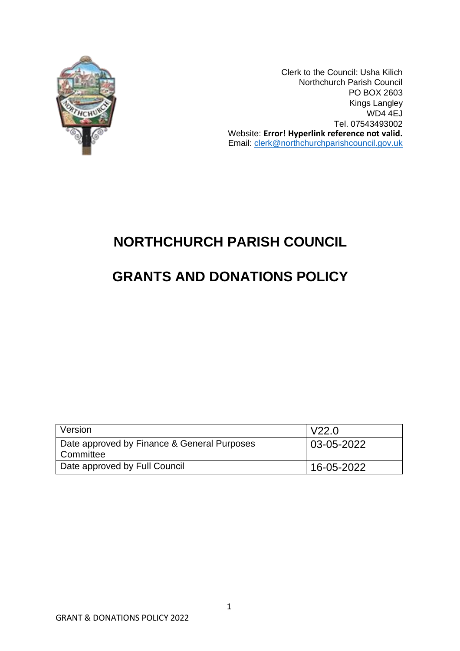

Clerk to the Council: Usha Kilich Northchurch Parish Council PO BOX 2603 Kings Langley WD4 4EJ Tel. 07543493002 Website: **Error! Hyperlink reference not valid.** Email: [clerk@northchurchparishcouncil.gov.uk](mailto:clerk@northchurchparishcouncil.gov.uk)

## **NORTHCHURCH PARISH COUNCIL**

# **GRANTS AND DONATIONS POLICY**

| Version                                                  | l V22.0    |
|----------------------------------------------------------|------------|
| Date approved by Finance & General Purposes<br>Committee | 03-05-2022 |
| Date approved by Full Council                            | 16-05-2022 |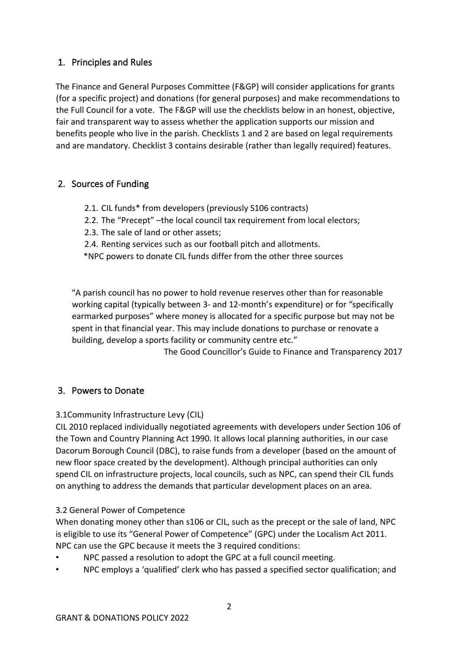## 1. Principles and Rules

The Finance and General Purposes Committee (F&GP) will consider applications for grants (for a specific project) and donations (for general purposes) and make recommendations to the Full Council for a vote. The F&GP will use the checklists below in an honest, objective, fair and transparent way to assess whether the application supports our mission and benefits people who live in the parish. Checklists 1 and 2 are based on legal requirements and are mandatory. Checklist 3 contains desirable (rather than legally required) features.

### 2. Sources of Funding

- 2.1. CIL funds\* from developers (previously S106 contracts)
- 2.2. The "Precept" –the local council tax requirement from local electors;
- 2.3. The sale of land or other assets;
- 2.4. Renting services such as our football pitch and allotments.

\*NPC powers to donate CIL funds differ from the other three sources

"A parish council has no power to hold revenue reserves other than for reasonable working capital (typically between 3- and 12-month's expenditure) or for "specifically earmarked purposes" where money is allocated for a specific purpose but may not be spent in that financial year. This may include donations to purchase or renovate a building, develop a sports facility or community centre etc."

The Good Councillor's Guide to Finance and Transparency 2017

### 3. Powers to Donate

#### 3.1Community Infrastructure Levy (CIL)

CIL 2010 replaced individually negotiated agreements with developers under Section 106 of the Town and Country Planning Act 1990. It allows local planning authorities, in our case Dacorum Borough Council (DBC), to raise funds from a developer (based on the amount of new floor space created by the development). Although principal authorities can only spend CIL on infrastructure projects, local councils, such as NPC, can spend their CIL funds on anything to address the demands that particular development places on an area.

#### 3.2 General Power of Competence

When donating money other than s106 or CIL, such as the precept or the sale of land, NPC is eligible to use its "General Power of Competence" (GPC) under the Localism Act 2011. NPC can use the GPC because it meets the 3 required conditions:

- NPC passed a resolution to adopt the GPC at a full council meeting.
- NPC employs a 'qualified' clerk who has passed a specified sector qualification; and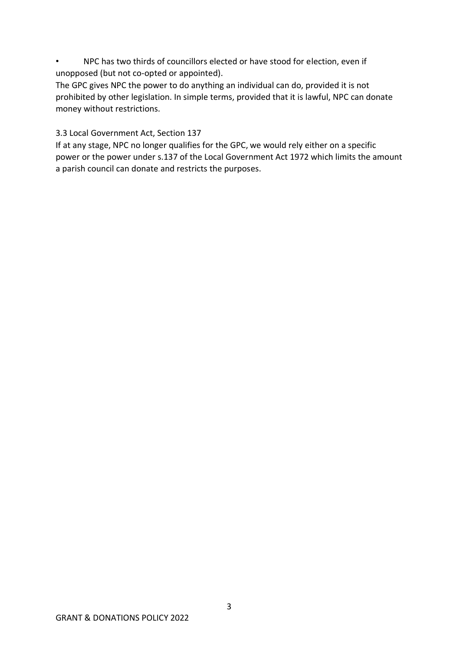• NPC has two thirds of councillors elected or have stood for election, even if unopposed (but not co-opted or appointed).

The GPC gives NPC the power to do anything an individual can do, provided it is not prohibited by other legislation. In simple terms, provided that it is lawful, NPC can donate money without restrictions.

3.3 Local Government Act, Section 137

If at any stage, NPC no longer qualifies for the GPC, we would rely either on a specific power or the power under s.137 of the Local Government Act 1972 which limits the amount a parish council can donate and restricts the purposes.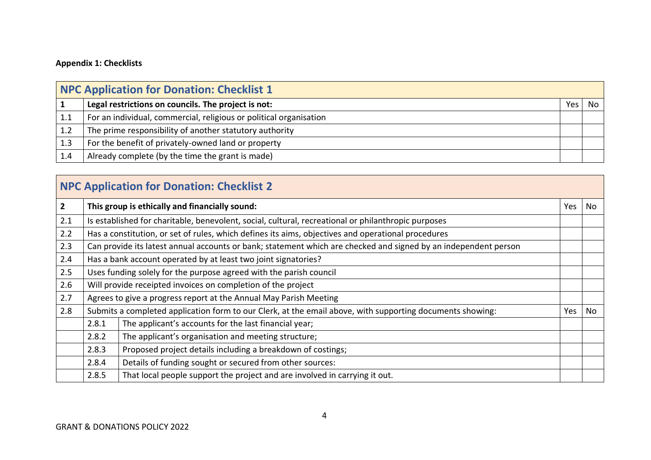### **Appendix 1: Checklists**

| NPC Application for Donation: Checklist 1 |                                                                    |     |    |  |  |  |
|-------------------------------------------|--------------------------------------------------------------------|-----|----|--|--|--|
|                                           | Legal restrictions on councils. The project is not:                | Yes | No |  |  |  |
| 1.1                                       | For an individual, commercial, religious or political organisation |     |    |  |  |  |
| 1.2                                       | The prime responsibility of another statutory authority            |     |    |  |  |  |
| 1.3                                       | For the benefit of privately-owned land or property                |     |    |  |  |  |
| 1.4                                       | Already complete (by the time the grant is made)                   |     |    |  |  |  |

# **NPC Application for Donation: Checklist 2**

| $\mathbf{2}$ |                                                                                                                 | This group is ethically and financially sound:                             | Yes | No |
|--------------|-----------------------------------------------------------------------------------------------------------------|----------------------------------------------------------------------------|-----|----|
| 2.1          | Is established for charitable, benevolent, social, cultural, recreational or philanthropic purposes             |                                                                            |     |    |
| 2.2          | Has a constitution, or set of rules, which defines its aims, objectives and operational procedures              |                                                                            |     |    |
| 2.3          | Can provide its latest annual accounts or bank; statement which are checked and signed by an independent person |                                                                            |     |    |
| 2.4          | Has a bank account operated by at least two joint signatories?                                                  |                                                                            |     |    |
| 2.5          | Uses funding solely for the purpose agreed with the parish council                                              |                                                                            |     |    |
| 2.6          | Will provide receipted invoices on completion of the project                                                    |                                                                            |     |    |
| 2.7          |                                                                                                                 | Agrees to give a progress report at the Annual May Parish Meeting          |     |    |
| 2.8          | Submits a completed application form to our Clerk, at the email above, with supporting documents showing:       |                                                                            | Yes | No |
|              | 2.8.1                                                                                                           | The applicant's accounts for the last financial year;                      |     |    |
|              | 2.8.2                                                                                                           | The applicant's organisation and meeting structure;                        |     |    |
|              | 2.8.3                                                                                                           | Proposed project details including a breakdown of costings;                |     |    |
|              | 2.8.4                                                                                                           | Details of funding sought or secured from other sources:                   |     |    |
|              | 2.8.5                                                                                                           | That local people support the project and are involved in carrying it out. |     |    |